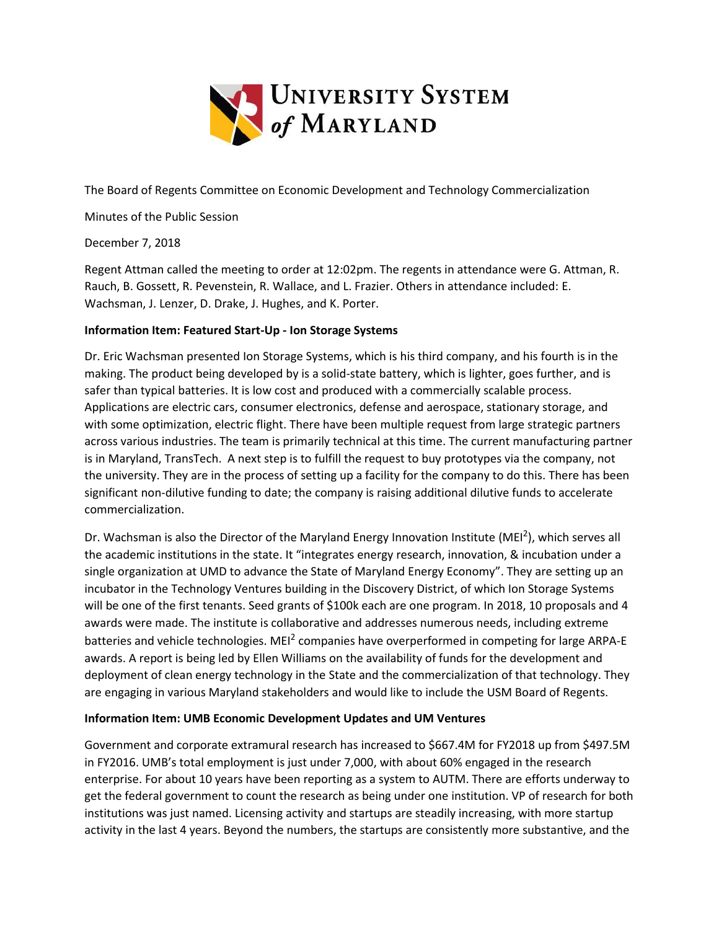

The Board of Regents Committee on Economic Development and Technology Commercialization

Minutes of the Public Session

December 7, 2018

Regent Attman called the meeting to order at 12:02pm. The regents in attendance were G. Attman, R. Rauch, B. Gossett, R. Pevenstein, R. Wallace, and L. Frazier. Others in attendance included: E. Wachsman, J. Lenzer, D. Drake, J. Hughes, and K. Porter.

## **Information Item: Featured Start-Up - Ion Storage Systems**

Dr. Eric Wachsman presented Ion Storage Systems, which is his third company, and his fourth is in the making. The product being developed by is a solid-state battery, which is lighter, goes further, and is safer than typical batteries. It is low cost and produced with a commercially scalable process. Applications are electric cars, consumer electronics, defense and aerospace, stationary storage, and with some optimization, electric flight. There have been multiple request from large strategic partners across various industries. The team is primarily technical at this time. The current manufacturing partner is in Maryland, TransTech. A next step is to fulfill the request to buy prototypes via the company, not the university. They are in the process of setting up a facility for the company to do this. There has been significant non-dilutive funding to date; the company is raising additional dilutive funds to accelerate commercialization.

Dr. Wachsman is also the Director of the Maryland Energy Innovation Institute (MEI<sup>2</sup>), which serves all the academic institutions in the state. It "integrates energy research, innovation, & incubation under a single organization at UMD to advance the State of Maryland Energy Economy". They are setting up an incubator in the Technology Ventures building in the Discovery District, of which Ion Storage Systems will be one of the first tenants. Seed grants of \$100k each are one program. In 2018, 10 proposals and 4 awards were made. The institute is collaborative and addresses numerous needs, including extreme batteries and vehicle technologies. MEI<sup>2</sup> companies have overperformed in competing for large ARPA-E awards. A report is being led by Ellen Williams on the availability of funds for the development and deployment of clean energy technology in the State and the commercialization of that technology. They are engaging in various Maryland stakeholders and would like to include the USM Board of Regents.

#### **Information Item: UMB Economic Development Updates and UM Ventures**

Government and corporate extramural research has increased to \$667.4M for FY2018 up from \$497.5M in FY2016. UMB's total employment is just under 7,000, with about 60% engaged in the research enterprise. For about 10 years have been reporting as a system to AUTM. There are efforts underway to get the federal government to count the research as being under one institution. VP of research for both institutions was just named. Licensing activity and startups are steadily increasing, with more startup activity in the last 4 years. Beyond the numbers, the startups are consistently more substantive, and the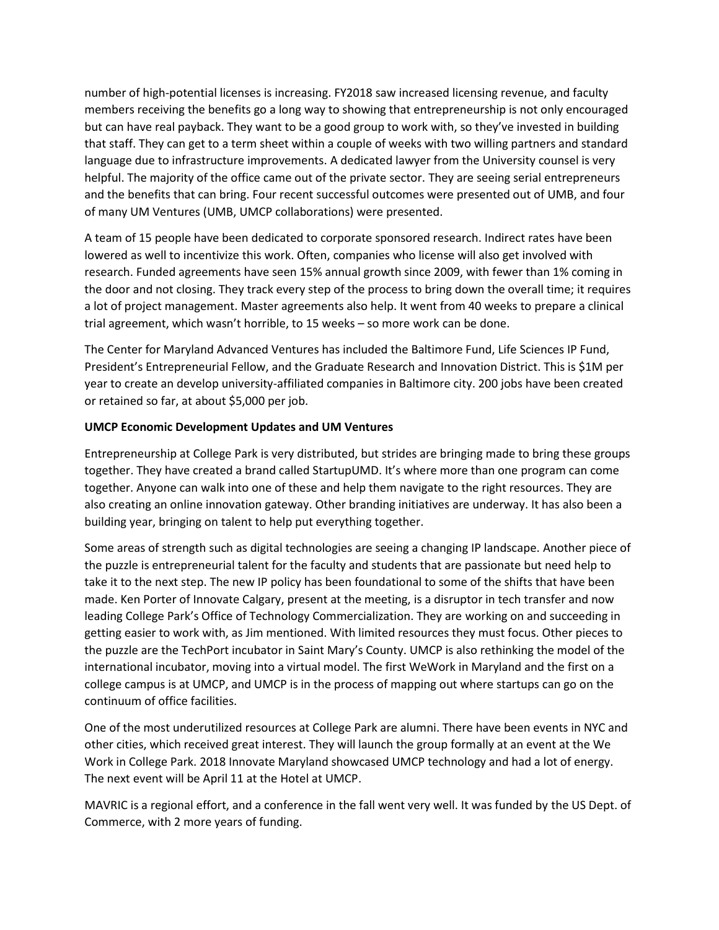number of high-potential licenses is increasing. FY2018 saw increased licensing revenue, and faculty members receiving the benefits go a long way to showing that entrepreneurship is not only encouraged but can have real payback. They want to be a good group to work with, so they've invested in building that staff. They can get to a term sheet within a couple of weeks with two willing partners and standard language due to infrastructure improvements. A dedicated lawyer from the University counsel is very helpful. The majority of the office came out of the private sector. They are seeing serial entrepreneurs and the benefits that can bring. Four recent successful outcomes were presented out of UMB, and four of many UM Ventures (UMB, UMCP collaborations) were presented.

A team of 15 people have been dedicated to corporate sponsored research. Indirect rates have been lowered as well to incentivize this work. Often, companies who license will also get involved with research. Funded agreements have seen 15% annual growth since 2009, with fewer than 1% coming in the door and not closing. They track every step of the process to bring down the overall time; it requires a lot of project management. Master agreements also help. It went from 40 weeks to prepare a clinical trial agreement, which wasn't horrible, to 15 weeks – so more work can be done.

The Center for Maryland Advanced Ventures has included the Baltimore Fund, Life Sciences IP Fund, President's Entrepreneurial Fellow, and the Graduate Research and Innovation District. This is \$1M per year to create an develop university-affiliated companies in Baltimore city. 200 jobs have been created or retained so far, at about \$5,000 per job.

## **UMCP Economic Development Updates and UM Ventures**

Entrepreneurship at College Park is very distributed, but strides are bringing made to bring these groups together. They have created a brand called StartupUMD. It's where more than one program can come together. Anyone can walk into one of these and help them navigate to the right resources. They are also creating an online innovation gateway. Other branding initiatives are underway. It has also been a building year, bringing on talent to help put everything together.

Some areas of strength such as digital technologies are seeing a changing IP landscape. Another piece of the puzzle is entrepreneurial talent for the faculty and students that are passionate but need help to take it to the next step. The new IP policy has been foundational to some of the shifts that have been made. Ken Porter of Innovate Calgary, present at the meeting, is a disruptor in tech transfer and now leading College Park's Office of Technology Commercialization. They are working on and succeeding in getting easier to work with, as Jim mentioned. With limited resources they must focus. Other pieces to the puzzle are the TechPort incubator in Saint Mary's County. UMCP is also rethinking the model of the international incubator, moving into a virtual model. The first WeWork in Maryland and the first on a college campus is at UMCP, and UMCP is in the process of mapping out where startups can go on the continuum of office facilities.

One of the most underutilized resources at College Park are alumni. There have been events in NYC and other cities, which received great interest. They will launch the group formally at an event at the We Work in College Park. 2018 Innovate Maryland showcased UMCP technology and had a lot of energy. The next event will be April 11 at the Hotel at UMCP.

MAVRIC is a regional effort, and a conference in the fall went very well. It was funded by the US Dept. of Commerce, with 2 more years of funding.